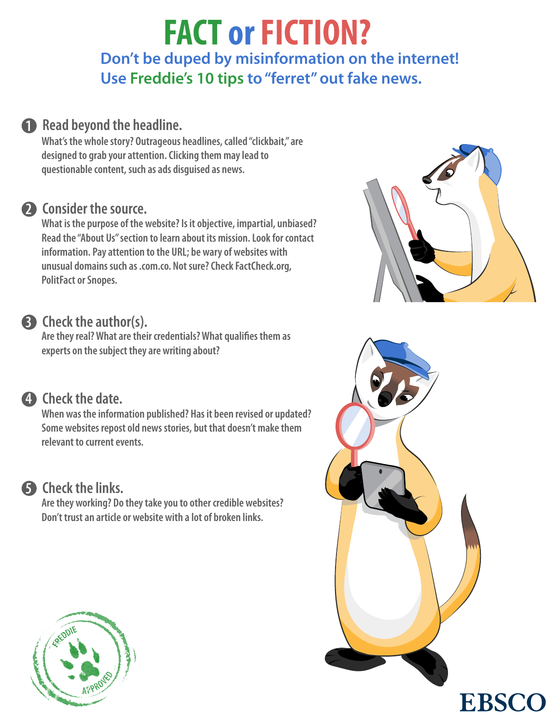# **Don't be duped by misinformation on the internet! Use Freddie's 10 tips to "ferret" out fake news. FACT or FICTION?**

## **1** Read beyond the headline.

**What's the whole story? Outrageous headlines, called "clickbait," are designed to grab your attention. Clicking them may lead to questionable content, such as ads disguised as news.**

### 2 Consider the source.

**What is the purpose of the website? Is it objective, impartial, unbiased? Read the "About Us" section to learn about its mission. Look for contact information. Pay attention to the URL; be wary of websites with unusual domains such as .com.co. Not sure? Check FactCheck.org, PolitFact or Snopes.**

### **Check the author(s). 3**

**Are they real? What are their credentials? What qualifies them as experts on the subject they are writing about?**

### **Check the date. 4**

**When was the information published? Has it been revised or updated? Some websites repost old news stories, but that doesn't make them relevant to current events.**



### **Check the links. 5**

**Are they working? Do they take you to other credible websites? Don't trust an article or website with a lot of broken links.**